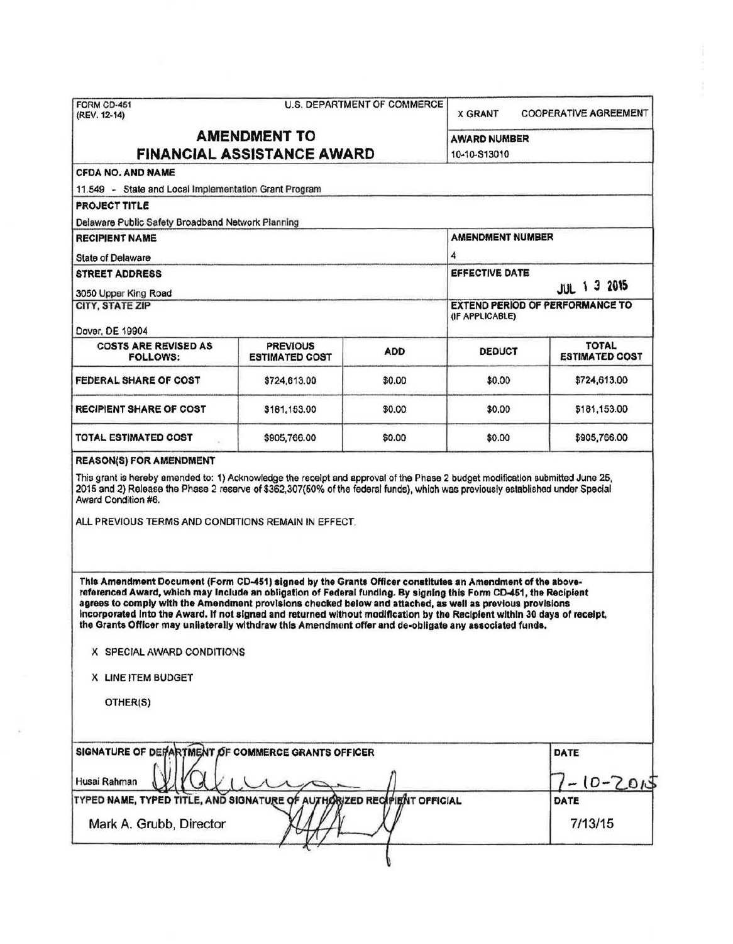|                                                                                                                                                                                                                                                                                                                                                                                                                                                                                                                                                                                                                                                                                                                                                                                                                                                                                                                                                                                                                                       |                                          |                         | U.S. DEPARTMENT OF COMMERCE<br><b>COOPERATIVE AGREEMENT</b><br><b>X GRANT</b> |                                       |  |
|---------------------------------------------------------------------------------------------------------------------------------------------------------------------------------------------------------------------------------------------------------------------------------------------------------------------------------------------------------------------------------------------------------------------------------------------------------------------------------------------------------------------------------------------------------------------------------------------------------------------------------------------------------------------------------------------------------------------------------------------------------------------------------------------------------------------------------------------------------------------------------------------------------------------------------------------------------------------------------------------------------------------------------------|------------------------------------------|-------------------------|-------------------------------------------------------------------------------|---------------------------------------|--|
|                                                                                                                                                                                                                                                                                                                                                                                                                                                                                                                                                                                                                                                                                                                                                                                                                                                                                                                                                                                                                                       | <b>AMENDMENT TO</b>                      |                         | AWARD NUMBER                                                                  |                                       |  |
| <b>FINANCIAL ASSISTANCE AWARD</b>                                                                                                                                                                                                                                                                                                                                                                                                                                                                                                                                                                                                                                                                                                                                                                                                                                                                                                                                                                                                     |                                          |                         | 10-10-S13010                                                                  |                                       |  |
| <b>CFDA NO. AND NAME</b>                                                                                                                                                                                                                                                                                                                                                                                                                                                                                                                                                                                                                                                                                                                                                                                                                                                                                                                                                                                                              |                                          |                         |                                                                               |                                       |  |
| 11.549 - State and Local Implementation Grant Program                                                                                                                                                                                                                                                                                                                                                                                                                                                                                                                                                                                                                                                                                                                                                                                                                                                                                                                                                                                 |                                          |                         |                                                                               |                                       |  |
| PROJECT TITLE                                                                                                                                                                                                                                                                                                                                                                                                                                                                                                                                                                                                                                                                                                                                                                                                                                                                                                                                                                                                                         |                                          |                         |                                                                               |                                       |  |
| Delaware Public Safety Broadband Network Planning                                                                                                                                                                                                                                                                                                                                                                                                                                                                                                                                                                                                                                                                                                                                                                                                                                                                                                                                                                                     |                                          |                         |                                                                               |                                       |  |
| <b>RECIPIENT NAME</b>                                                                                                                                                                                                                                                                                                                                                                                                                                                                                                                                                                                                                                                                                                                                                                                                                                                                                                                                                                                                                 |                                          | <b>AMENDMENT NUMBER</b> |                                                                               |                                       |  |
| <b>State of Delaware</b>                                                                                                                                                                                                                                                                                                                                                                                                                                                                                                                                                                                                                                                                                                                                                                                                                                                                                                                                                                                                              |                                          | 4                       |                                                                               |                                       |  |
| <b>STREET ADDRESS</b>                                                                                                                                                                                                                                                                                                                                                                                                                                                                                                                                                                                                                                                                                                                                                                                                                                                                                                                                                                                                                 |                                          | EFFECTIVE DATE          | JUL 1 3 2015                                                                  |                                       |  |
| 3050 Upper King Road<br><b>CITY, STATE ZIP</b>                                                                                                                                                                                                                                                                                                                                                                                                                                                                                                                                                                                                                                                                                                                                                                                                                                                                                                                                                                                        |                                          |                         | <b>EXTEND PERIOD OF PERFORMANCE TO</b>                                        |                                       |  |
|                                                                                                                                                                                                                                                                                                                                                                                                                                                                                                                                                                                                                                                                                                                                                                                                                                                                                                                                                                                                                                       |                                          |                         | (IF APPLICABLE)                                                               |                                       |  |
| Dover, DE 19904                                                                                                                                                                                                                                                                                                                                                                                                                                                                                                                                                                                                                                                                                                                                                                                                                                                                                                                                                                                                                       |                                          |                         |                                                                               |                                       |  |
| <b>COSTS ARE REVISED AS</b><br><b>FOLLOWS:</b>                                                                                                                                                                                                                                                                                                                                                                                                                                                                                                                                                                                                                                                                                                                                                                                                                                                                                                                                                                                        | <b>PREVIOUS</b><br><b>ESTIMATED COST</b> | <b>ADD</b>              | <b>DEDUCT</b>                                                                 | <b>TOTAL</b><br><b>ESTIMATED COST</b> |  |
| <b>FEDERAL SHARE OF COST</b>                                                                                                                                                                                                                                                                                                                                                                                                                                                                                                                                                                                                                                                                                                                                                                                                                                                                                                                                                                                                          | \$724,613.00                             | \$0.00                  | \$0.00                                                                        | \$724,613.00                          |  |
| <b>RECIPIENT SHARE OF COST</b>                                                                                                                                                                                                                                                                                                                                                                                                                                                                                                                                                                                                                                                                                                                                                                                                                                                                                                                                                                                                        | \$181,153.00                             | \$0.00                  | \$0.00                                                                        | \$181,153.00                          |  |
| TOTAL ESTIMATED COST                                                                                                                                                                                                                                                                                                                                                                                                                                                                                                                                                                                                                                                                                                                                                                                                                                                                                                                                                                                                                  | \$905,766.00                             | \$0.00                  | \$0.00                                                                        | \$905,766.00                          |  |
|                                                                                                                                                                                                                                                                                                                                                                                                                                                                                                                                                                                                                                                                                                                                                                                                                                                                                                                                                                                                                                       |                                          |                         |                                                                               |                                       |  |
| <b>REASON(S) FOR AMENDMENT</b><br>This grant is hereby amended to: 1) Acknowledge the receipt and approval of the Phase 2 budget modification submitted June 25,<br>2015 and 2) Release the Phase 2 reserve of \$362,307(50% of the federal funds), which was previously established under Special<br>Award Condition #6.<br>ALL PREVIOUS TERMS AND CONDITIONS REMAIN IN EFFECT.<br>This Amendment Document (Form CD-451) signed by the Grants Officer constitutes an Amendment of the above-<br>referenced Award, which may Include an obligation of Federal funding. By signing this Form CD-451, the Recipient<br>agrees to comply with the Amendment provisions checked below and attached, as well as previous provisions<br>incorporated into the Award. If not signed and returned without modification by the Recipient within 30 days of receipt,<br>the Grants Officer may unilaterally withdraw this Amendment offer and de-obligate any associated funds.<br>X SPECIAL AWARD CONDITIONS<br>X LINE ITEM BUDGET<br>OTHER(S) |                                          |                         |                                                                               |                                       |  |